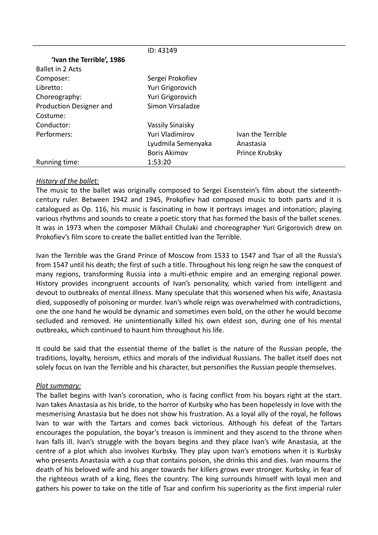|                           | ID: 43149           |                   |
|---------------------------|---------------------|-------------------|
| 'Ivan the Terrible', 1986 |                     |                   |
| <b>Ballet in 2 Acts</b>   |                     |                   |
| Composer:                 | Sergei Prokofiev    |                   |
| Libretto:                 | Yuri Grigorovich    |                   |
| Choreography:             | Yuri Grigorovich    |                   |
| Production Designer and   | Simon Virsaladze    |                   |
| Costume:                  |                     |                   |
| Conductor:                | Vassily Sinaisky    |                   |
| Performers:               | Yuri Vladimirov     | Ivan the Terrible |
|                           | Lyudmila Semenyaka  | Anastasia         |
|                           | <b>Boris Akimov</b> | Prince Krubsky    |
| Running time:             | 1:53:20             |                   |

## *History of the ballet:*

The music to the ballet was originally composed to Sergei Eisenstein's film about the sixteenthcentury ruler. Between 1942 and 1945, Prokofiev had composed music to both parts and it is catalogued as Op. 116, his music is fascinating in how it portrays images and intonation; playing various rhythms and sounds to create a poetic story that has formed the basis of the ballet scenes. It was in 1973 when the composer Mikhail Chulaki and choreographer Yuri Grigorovich drew on Prokofiev's film score to create the ballet entitled Ivan the Terrible.

Ivan the Terrible was the Grand Prince of Moscow from 1533 to 1547 and Tsar of all the Russia's from 1547 until his death; the first of such a title. Throughout his long reign he saw the conquest of many regions, transforming Russia into a multi-ethnic empire and an emerging regional power. History provides incongruent accounts of Ivan's personality, which varied from intelligent and devout to outbreaks of mental illness. Many speculate that this worsened when his wife, Anastasia died, supposedly of poisoning or murder. Ivan's whole reign was overwhelmed with contradictions, one the one hand he would be dynamic and sometimes even bold, on the other he would become secluded and removed. He unintentionally killed his own eldest son, during one of his mental outbreaks, which continued to haunt him throughout his life.

It could be said that the essential theme of the ballet is the nature of the Russian people, the traditions, loyalty, heroism, ethics and morals of the individual Russians. The ballet itself does not solely focus on Ivan the Terrible and his character, but personifies the Russian people themselves.

## *Plot summary:*

The ballet begins with Ivan's coronation, who is facing conflict from his boyars right at the start. Ivan takes Anastasia as his bride, to the horror of Kurbsky who has been hopelessly in love with the mesmerising Anastasia but he does not show his frustration. As a loyal ally of the royal, he follows Ivan to war with the Tartars and comes back victorious. Although his defeat of the Tartars encourages the population, the boyar's treason is imminent and they ascend to the throne when Ivan falls ill. Ivan's struggle with the boyars begins and they place Ivan's wife Anastasia, at the centre of a plot which also involves Kurbsky. They play upon Ivan's emotions when it is Kurbsky who presents Anastasia with a cup that contains poison, she drinks this and dies. Ivan mourns the death of his beloved wife and his anger towards her killers grows ever stronger. Kurbsky, in fear of the righteous wrath of a king, flees the country. The king surrounds himself with loyal men and gathers his power to take on the title of Tsar and confirm his superiority as the first imperial ruler